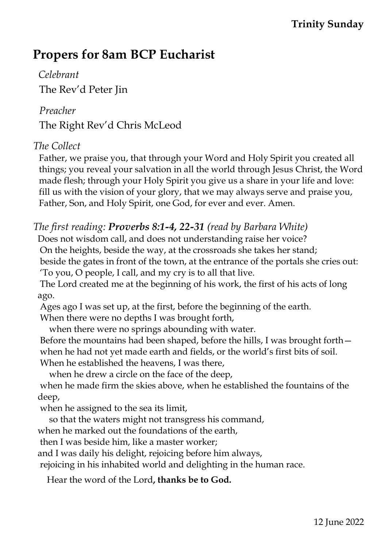## **Trinity Sunday**

# **Propers for 8am BCP Eucharist**

 *Celebrant* The Rev'd Peter Jin

#### *Preacher*

The Right Rev'd Chris McLeod

### *The Collect*

Father, we praise you, that through your Word and Holy Spirit you created all things; you reveal your salvation in all the world through Jesus Christ, the Word made flesh; through your Holy Spirit you give us a share in your life and love: fill us with the vision of your glory, that we may always serve and praise you, Father, Son, and Holy Spirit, one God, for ever and ever. Amen.

## *The first reading: Proverbs 8:1-4, 22-31 (read by Barbara White)*

Does not wisdom call, and does not understanding raise her voice? On the heights, beside the way, at the crossroads she takes her stand; beside the gates in front of the town, at the entrance of the portals she cries out: 'To you, O people, I call, and my cry is to all that live.

The Lord created me at the beginning of his work, the first of his acts of long ago.

Ages ago I was set up, at the first, before the beginning of the earth. When there were no depths I was brought forth,

when there were no springs abounding with water.

Before the mountains had been shaped, before the hills, I was brought forth when he had not yet made earth and fields, or the world's first bits of soil. When he established the heavens, I was there,

when he drew a circle on the face of the deep,

when he made firm the skies above, when he established the fountains of the deep,

when he assigned to the sea its limit,

so that the waters might not transgress his command,

when he marked out the foundations of the earth,

then I was beside him, like a master worker;

and I was daily his delight, rejoicing before him always,

rejoicing in his inhabited world and delighting in the human race.

Hear the word of the Lord**, thanks be to God.**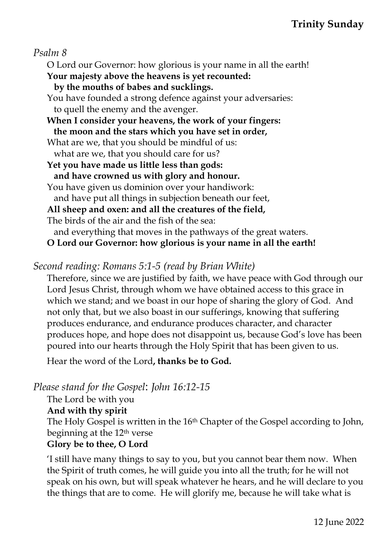*Psalm 8*

O Lord our Governor: how glorious is your name in all the earth! **Your majesty above the heavens is yet recounted: by the mouths of babes and sucklings.** You have founded a strong defence against your adversaries: to quell the enemy and the avenger. **When I consider your heavens, the work of your fingers: the moon and the stars which you have set in order,** What are we, that you should be mindful of us: what are we, that you should care for us? **Yet you have made us little less than gods: and have crowned us with glory and honour.** You have given us dominion over your handiwork: and have put all things in subjection beneath our feet, **All sheep and oxen: and all the creatures of the field,** The birds of the air and the fish of the sea: and everything that moves in the pathways of the great waters. **O Lord our Governor: how glorious is your name in all the earth!**

*Second reading: Romans 5:1-5 (read by Brian White)*

Therefore, since we are justified by faith, we have peace with God through our Lord Jesus Christ, through whom we have obtained access to this grace in which we stand; and we boast in our hope of sharing the glory of God. And not only that, but we also boast in our sufferings, knowing that suffering produces endurance, and endurance produces character, and character produces hope, and hope does not disappoint us, because God's love has been poured into our hearts through the Holy Spirit that has been given to us.

Hear the word of the Lord**, thanks be to God.**

*Please stand for the Gospel*: *John 16:12-15*

The Lord be with you

**And with thy spirit**

The Holy Gospel is written in the 16<sup>th</sup> Chapter of the Gospel according to John, beginning at the 12th verse

#### **Glory be to thee, O Lord**

'I still have many things to say to you, but you cannot bear them now. When the Spirit of truth comes, he will guide you into all the truth; for he will not speak on his own, but will speak whatever he hears, and he will declare to you the things that are to come. He will glorify me, because he will take what is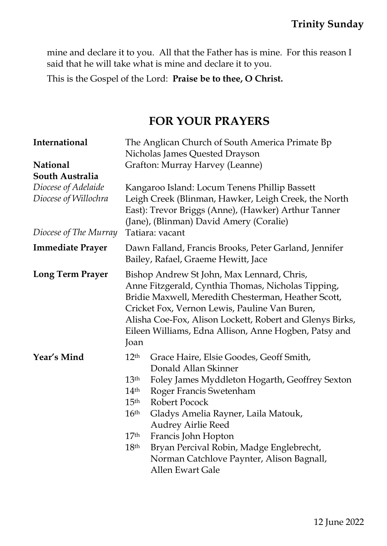mine and declare it to you. All that the Father has is mine. For this reason I said that he will take what is mine and declare it to you.

This is the Gospel of the Lord: **Praise be to thee, O Christ.**

## **FOR YOUR PRAYERS**

| <b>International</b>                        | The Anglican Church of South America Primate Bp<br>Nicholas James Quested Drayson                                                                                                                                                                                                                                                                                                                                                                                                                              |
|---------------------------------------------|----------------------------------------------------------------------------------------------------------------------------------------------------------------------------------------------------------------------------------------------------------------------------------------------------------------------------------------------------------------------------------------------------------------------------------------------------------------------------------------------------------------|
| <b>National</b>                             | Grafton: Murray Harvey (Leanne)                                                                                                                                                                                                                                                                                                                                                                                                                                                                                |
| South Australia                             |                                                                                                                                                                                                                                                                                                                                                                                                                                                                                                                |
| Diocese of Adelaide<br>Diocese of Willochra | Kangaroo Island: Locum Tenens Phillip Bassett<br>Leigh Creek (Blinman, Hawker, Leigh Creek, the North<br>East): Trevor Briggs (Anne), (Hawker) Arthur Tanner<br>(Jane), (Blinman) David Amery (Coralie)                                                                                                                                                                                                                                                                                                        |
| Diocese of The Murray                       | Tatiara: vacant                                                                                                                                                                                                                                                                                                                                                                                                                                                                                                |
| <b>Immediate Prayer</b>                     | Dawn Falland, Francis Brooks, Peter Garland, Jennifer<br>Bailey, Rafael, Graeme Hewitt, Jace                                                                                                                                                                                                                                                                                                                                                                                                                   |
| <b>Long Term Prayer</b>                     | Bishop Andrew St John, Max Lennard, Chris,<br>Anne Fitzgerald, Cynthia Thomas, Nicholas Tipping,<br>Bridie Maxwell, Meredith Chesterman, Heather Scott,<br>Cricket Fox, Vernon Lewis, Pauline Van Buren,<br>Alisha Coe-Fox, Alison Lockett, Robert and Glenys Birks,<br>Eileen Williams, Edna Allison, Anne Hogben, Patsy and<br>Joan                                                                                                                                                                          |
| Year's Mind                                 | 12 <sup>th</sup><br>Grace Haire, Elsie Goodes, Geoff Smith,<br>Donald Allan Skinner<br>13 <sup>th</sup><br>Foley James Myddleton Hogarth, Geoffrey Sexton<br>$14^{\rm th}$<br>Roger Francis Swetenham<br>15 <sup>th</sup><br>Robert Pocock<br>16 <sup>th</sup><br>Gladys Amelia Rayner, Laila Matouk,<br>Audrey Airlie Reed<br>17 <sup>th</sup><br>Francis John Hopton<br>Bryan Percival Robin, Madge Englebrecht,<br>18 <sup>th</sup><br>Norman Catchlove Paynter, Alison Bagnall,<br><b>Allen Ewart Gale</b> |